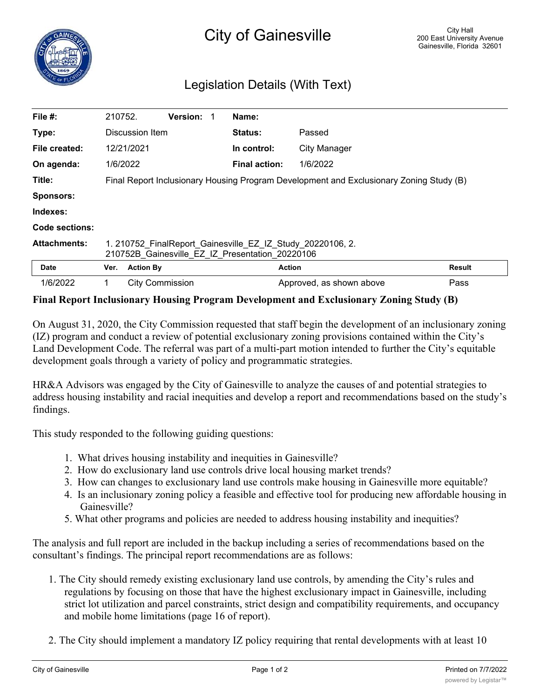## Legislation Details (With Text)

| File $#$ :          | 210752.                                                                                                       |                  | <b>Version:</b>        |  | Name:                |                          |               |
|---------------------|---------------------------------------------------------------------------------------------------------------|------------------|------------------------|--|----------------------|--------------------------|---------------|
| Type:               | Discussion Item                                                                                               |                  |                        |  | <b>Status:</b>       | Passed                   |               |
| File created:       |                                                                                                               | 12/21/2021       |                        |  | In control:          | City Manager             |               |
| On agenda:          |                                                                                                               | 1/6/2022         |                        |  | <b>Final action:</b> | 1/6/2022                 |               |
| Title:              | Final Report Inclusionary Housing Program Development and Exclusionary Zoning Study (B)                       |                  |                        |  |                      |                          |               |
| <b>Sponsors:</b>    |                                                                                                               |                  |                        |  |                      |                          |               |
| Indexes:            |                                                                                                               |                  |                        |  |                      |                          |               |
| Code sections:      |                                                                                                               |                  |                        |  |                      |                          |               |
| <b>Attachments:</b> | 1. 210752 FinalReport Gainesville EZ IZ Study 20220106, 2.<br>210752B Gainesville EZ IZ Presentation 20220106 |                  |                        |  |                      |                          |               |
| <b>Date</b>         | Ver.                                                                                                          | <b>Action By</b> |                        |  |                      | <b>Action</b>            | <b>Result</b> |
| 1/6/2022            |                                                                                                               |                  | <b>City Commission</b> |  |                      | Approved, as shown above | Pass          |

## **Final Report Inclusionary Housing Program Development and Exclusionary Zoning Study (B)**

On August 31, 2020, the City Commission requested that staff begin the development of an inclusionary zoning (IZ) program and conduct a review of potential exclusionary zoning provisions contained within the City's Land Development Code. The referral was part of a multi-part motion intended to further the City's equitable development goals through a variety of policy and programmatic strategies.

HR&A Advisors was engaged by the City of Gainesville to analyze the causes of and potential strategies to address housing instability and racial inequities and develop a report and recommendations based on the study's findings.

This study responded to the following guiding questions:

- 1. What drives housing instability and inequities in Gainesville?
- 2. How do exclusionary land use controls drive local housing market trends?
- 3. How can changes to exclusionary land use controls make housing in Gainesville more equitable?
- 4. Is an inclusionary zoning policy a feasible and effective tool for producing new affordable housing in Gainesville?
- 5. What other programs and policies are needed to address housing instability and inequities?

The analysis and full report are included in the backup including a series of recommendations based on the consultant's findings. The principal report recommendations are as follows:

- 1. The City should remedy existing exclusionary land use controls, by amending the City's rules and regulations by focusing on those that have the highest exclusionary impact in Gainesville, including strict lot utilization and parcel constraints, strict design and compatibility requirements, and occupancy and mobile home limitations (page 16 of report).
- 2. The City should implement a mandatory IZ policy requiring that rental developments with at least 10